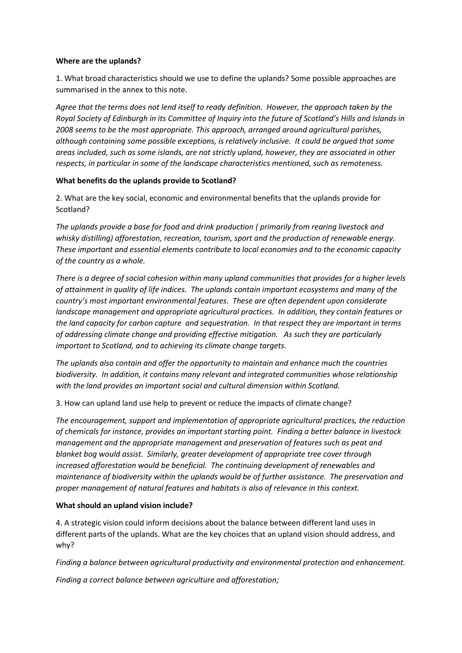## **Where are the uplands?**

1. What broad characteristics should we use to define the uplands? Some possible approaches are summarised in the annex to this note.

*Agree that the terms does not lend itself to ready definition. However, the approach taken by the Royal Society of Edinburgh in its Committee of Inquiry into the future of Scotland's Hills and Islands in 2008 seems to be the most appropriate. This approach, arranged around agricultural parishes, although containing some possible exceptions, is relatively inclusive. It could be argued that some areas included, such as some islands, are not strictly upland, however, they are associated in other respects, in particular in some of the landscape characteristics mentioned, such as remoteness.* 

## **What benefits do the uplands provide to Scotland?**

2. What are the key social, economic and environmental benefits that the uplands provide for Scotland?

*The uplands provide a base for food and drink production ( primarily from rearing livestock and whisky distilling) afforestation, recreation, tourism, sport and the production of renewable energy. These important and essential elements contribute to local economies and to the economic capacity of the country as a whole.*

*There is a degree of social cohesion within many upland communities that provides for a higher levels of attainment in quality of life indices. The uplands contain important ecosystems and many of the country's most important environmental features. These are often dependent upon considerate landscape management and appropriate agricultural practices. In addition, they contain features or the land capacity for carbon capture and sequestration. In that respect they are important in terms of addressing climate change and providing effective mitigation. As such they are particularly important to Scotland, and to achieving its climate change targets.*

*The uplands also contain and offer the opportunity to maintain and enhance much the countries biodiversity. In addition, it contains many relevant and integrated communities whose relationship with the land provides an important social and cultural dimension within Scotland.* 

3. How can upland land use help to prevent or reduce the impacts of climate change?

*The encouragement, support and implementation of appropriate agricultural practices, the reduction of chemicals for instance, provides an important starting point. Finding a better balance in livestock management and the appropriate management and preservation of features such as peat and blanket bog would assist. Similarly, greater development of appropriate tree cover through increased afforestation would be beneficial. The continuing development of renewables and maintenance of biodiversity within the uplands would be of further assistance. The preservation and proper management of natural features and habitats is also of relevance in this context.*

## **What should an upland vision include?**

4. A strategic vision could inform decisions about the balance between different land uses in different parts of the uplands. What are the key choices that an upland vision should address, and why?

*Finding a balance between agricultural productivity and environmental protection and enhancement.*

*Finding a correct balance between agriculture and afforestation;*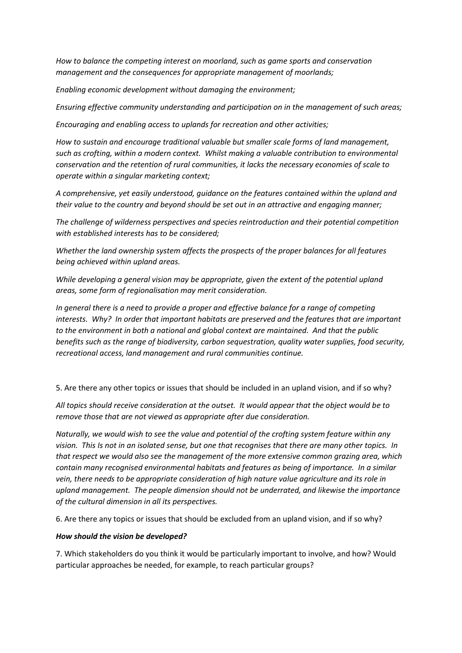*How to balance the competing interest on moorland, such as game sports and conservation management and the consequences for appropriate management of moorlands;*

*Enabling economic development without damaging the environment;*

*Ensuring effective community understanding and participation on in the management of such areas;*

*Encouraging and enabling access to uplands for recreation and other activities;*

*How to sustain and encourage traditional valuable but smaller scale forms of land management, such as crofting, within a modern context. Whilst making a valuable contribution to environmental conservation and the retention of rural communities, it lacks the necessary economies of scale to operate within a singular marketing context;*

*A comprehensive, yet easily understood, guidance on the features contained within the upland and their value to the country and beyond should be set out in an attractive and engaging manner;*

*The challenge of wilderness perspectives and species reintroduction and their potential competition with established interests has to be considered;*

*Whether the land ownership system affects the prospects of the proper balances for all features being achieved within upland areas.*

*While developing a general vision may be appropriate, given the extent of the potential upland areas, some form of regionalisation may merit consideration.*

*In general there is a need to provide a proper and effective balance for a range of competing interests. Why? In order that important habitats are preserved and the features that are important to the environment in both a national and global context are maintained. And that the public benefits such as the range of biodiversity, carbon sequestration, quality water supplies, food security, recreational access, land management and rural communities continue.*

5. Are there any other topics or issues that should be included in an upland vision, and if so why?

*All topics should receive consideration at the outset. It would appear that the object would be to remove those that are not viewed as appropriate after due consideration.*

*Naturally, we would wish to see the value and potential of the crofting system feature within any vision. This Is not in an isolated sense, but one that recognises that there are many other topics. In that respect we would also see the management of the more extensive common grazing area, which contain many recognised environmental habitats and features as being of importance. In a similar vein, there needs to be appropriate consideration of high nature value agriculture and its role in upland management. The people dimension should not be underrated, and likewise the importance of the cultural dimension in all its perspectives.*

6. Are there any topics or issues that should be excluded from an upland vision, and if so why?

## *How should the vision be developed?*

7. Which stakeholders do you think it would be particularly important to involve, and how? Would particular approaches be needed, for example, to reach particular groups?